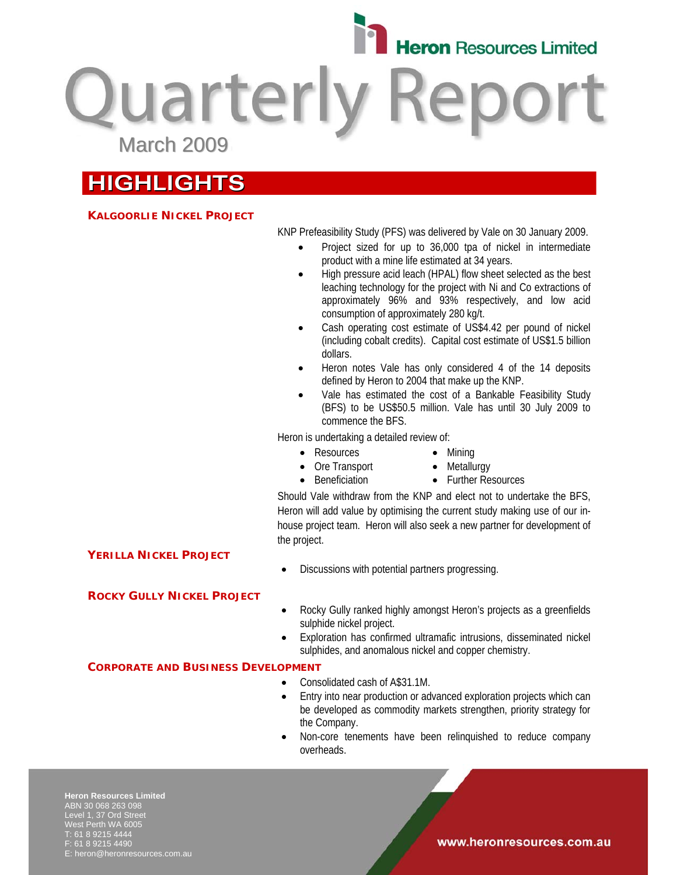

**Quarterly Repo** March 2009

# **HIGHLIGHTS**

## **KALGOORLIE NICKEL PROJECT**

KNP Prefeasibility Study (PFS) was delivered by Vale on 30 January 2009.

- Project sized for up to 36,000 tpa of nickel in intermediate product with a mine life estimated at 34 years.
- High pressure acid leach (HPAL) flow sheet selected as the best leaching technology for the project with Ni and Co extractions of approximately 96% and 93% respectively, and low acid consumption of approximately 280 kg/t.
- Cash operating cost estimate of US\$4.42 per pound of nickel (including cobalt credits). Capital cost estimate of US\$1.5 billion dollars.
- Heron notes Vale has only considered 4 of the 14 deposits defined by Heron to 2004 that make up the KNP.
- Vale has estimated the cost of a Bankable Feasibility Study (BFS) to be US\$50.5 million. Vale has until 30 July 2009 to commence the BFS.

Heron is undertaking a detailed review of:

• Resources

• Beneficiation

- Mining • Metallurgy
- Ore Transport

• Discussions with potential partners progressing.

• Further Resources

Should Vale withdraw from the KNP and elect not to undertake the BFS, Heron will add value by optimising the current study making use of our inhouse project team. Heron will also seek a new partner for development of the project.

## **YERILLA NICKEL PROJECT**

## **ROCKY GULLY NICKEL PROJECT**

- Rocky Gully ranked highly amongst Heron's projects as a greenfields sulphide nickel project.
- Exploration has confirmed ultramafic intrusions, disseminated nickel sulphides, and anomalous nickel and copper chemistry.

#### **CORPORATE AND BUSINESS DEVELOPMENT**

- Consolidated cash of A\$31.1M.
- Entry into near production or advanced exploration projects which can be developed as commodity markets strengthen, priority strategy for the Company.
- Non-core tenements have been relinquished to reduce company overheads.

**Heron Resources Limited**  ABN 30 068 263 098 Level 1, 37 Ord Street West Perth WA 6005 T: 61 8 9215 4444 F: 61 8 9215 4490 E: heron@heronresources.com.au

#### www.heronresources.com.au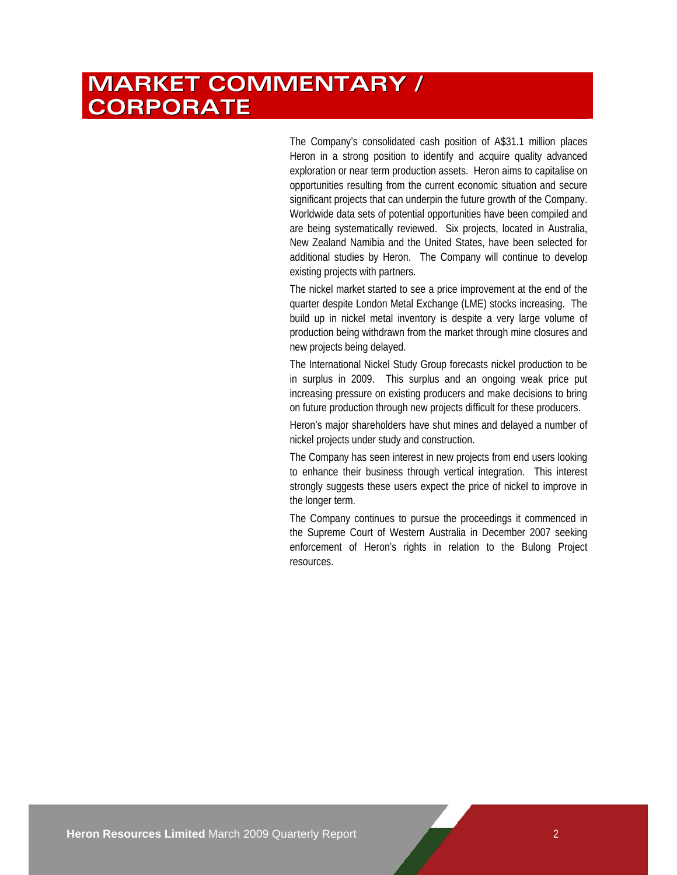# **MARKET COMMENTARY / CORPORATE**

The Company's consolidated cash position of A\$31.1 million places Heron in a strong position to identify and acquire quality advanced exploration or near term production assets. Heron aims to capitalise on opportunities resulting from the current economic situation and secure significant projects that can underpin the future growth of the Company. Worldwide data sets of potential opportunities have been compiled and are being systematically reviewed. Six projects, located in Australia, New Zealand Namibia and the United States, have been selected for additional studies by Heron. The Company will continue to develop existing projects with partners.

The nickel market started to see a price improvement at the end of the quarter despite London Metal Exchange (LME) stocks increasing. The build up in nickel metal inventory is despite a very large volume of production being withdrawn from the market through mine closures and new projects being delayed.

The International Nickel Study Group forecasts nickel production to be in surplus in 2009. This surplus and an ongoing weak price put increasing pressure on existing producers and make decisions to bring on future production through new projects difficult for these producers.

Heron's major shareholders have shut mines and delayed a number of nickel projects under study and construction.

The Company has seen interest in new projects from end users looking to enhance their business through vertical integration. This interest strongly suggests these users expect the price of nickel to improve in the longer term.

The Company continues to pursue the proceedings it commenced in the Supreme Court of Western Australia in December 2007 seeking enforcement of Heron's rights in relation to the Bulong Project resources.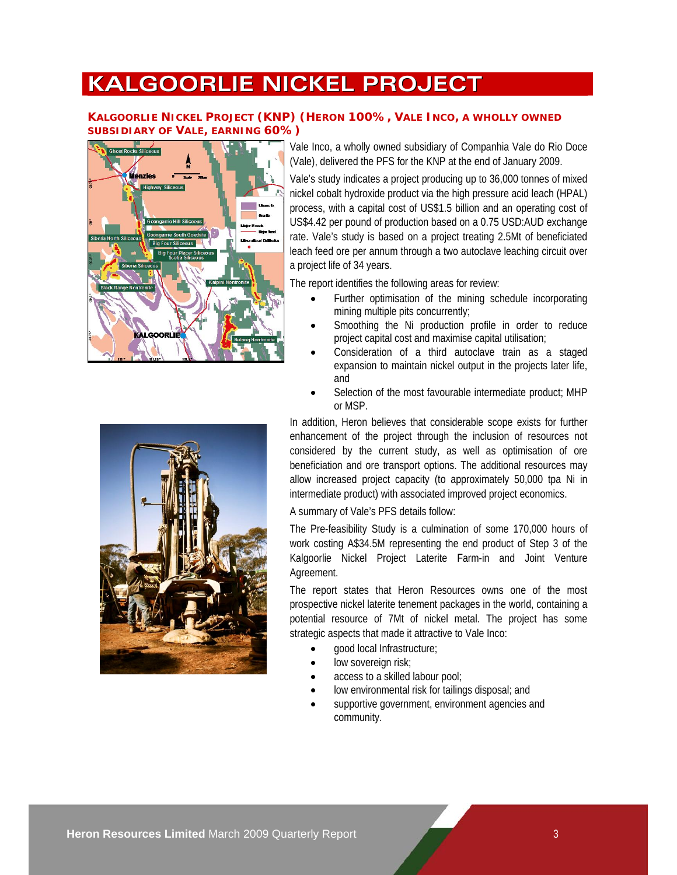# **KALGOORLIE NICKEL PROJECT**

## **KALGOORLIE NICKEL PROJECT (KNP) (HERON 100%, VALE INCO, A WHOLLY OWNED SUBSIDIARY OF VALE, EARNING 60%)**



Vale Inco, a wholly owned subsidiary of Companhia Vale do Rio Doce (Vale), delivered the PFS for the KNP at the end of January 2009.

Vale's study indicates a project producing up to 36,000 tonnes of mixed nickel cobalt hydroxide product via the high pressure acid leach (HPAL) process, with a capital cost of US\$1.5 billion and an operating cost of US\$4.42 per pound of production based on a 0.75 USD:AUD exchange rate. Vale's study is based on a project treating 2.5Mt of beneficiated leach feed ore per annum through a two autoclave leaching circuit over a project life of 34 years.

The report identifies the following areas for review:

- Further optimisation of the mining schedule incorporating mining multiple pits concurrently;
- Smoothing the Ni production profile in order to reduce project capital cost and maximise capital utilisation;
- Consideration of a third autoclave train as a staged expansion to maintain nickel output in the projects later life, and
- Selection of the most favourable intermediate product; MHP or MSP.

In addition, Heron believes that considerable scope exists for further enhancement of the project through the inclusion of resources not considered by the current study, as well as optimisation of ore beneficiation and ore transport options. The additional resources may allow increased project capacity (to approximately 50,000 tpa Ni in intermediate product) with associated improved project economics.

A summary of Vale's PFS details follow:

The Pre-feasibility Study is a culmination of some 170,000 hours of work costing A\$34.5M representing the end product of Step 3 of the Kalgoorlie Nickel Project Laterite Farm-in and Joint Venture Agreement.

The report states that Heron Resources owns one of the most prospective nickel laterite tenement packages in the world, containing a potential resource of 7Mt of nickel metal. The project has some strategic aspects that made it attractive to Vale Inco:

- good local Infrastructure;
- low sovereign risk;
- access to a skilled labour pool;
- low environmental risk for tailings disposal; and
- supportive government, environment agencies and community.

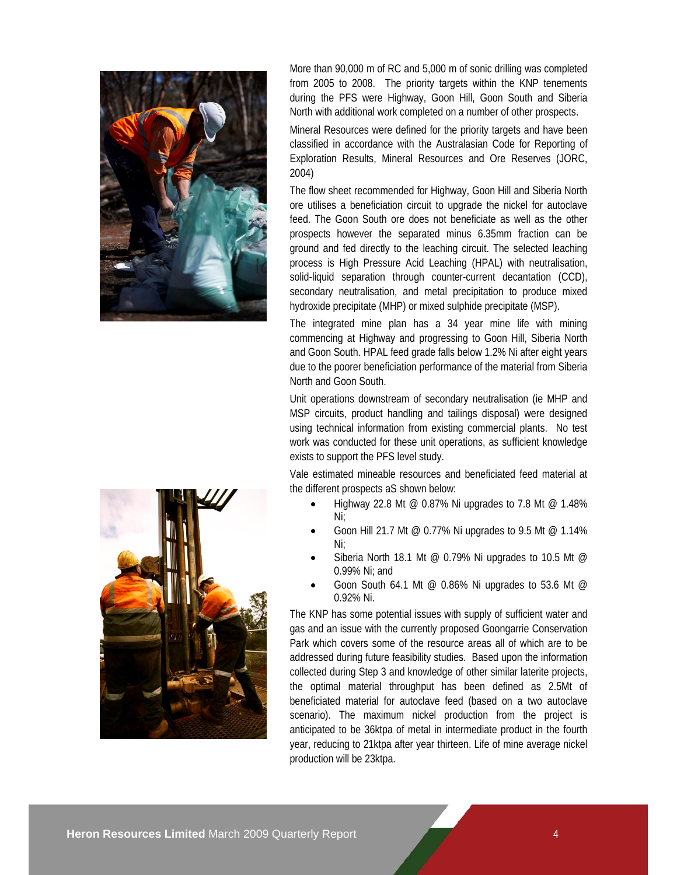

More than 90,000 m of RC and 5,000 m of sonic drilling was completed from 2005 to 2008. The priority targets within the KNP tenements during the PFS were Highway, Goon Hill, Goon South and Siberia North with additional work completed on a number of other prospects.

Mineral Resources were defined for the priority targets and have been classified in accordance with the Australasian Code for Reporting of Exploration Results, Mineral Resources and Ore Reserves (JORC, 2004)

The flow sheet recommended for Highway, Goon Hill and Siberia North ore utilises a beneficiation circuit to upgrade the nickel for autoclave feed. The Goon South ore does not beneficiate as well as the other prospects however the separated minus 6.35mm fraction can be ground and fed directly to the leaching circuit. The selected leaching process is High Pressure Acid Leaching (HPAL) with neutralisation, solid-liquid separation through counter-current decantation (CCD), secondary neutralisation, and metal precipitation to produce mixed hydroxide precipitate (MHP) or mixed sulphide precipitate (MSP).

The integrated mine plan has a 34 year mine life with mining commencing at Highway and progressing to Goon Hill, Siberia North and Goon South. HPAL feed grade falls below 1.2% Ni after eight years due to the poorer beneficiation performance of the material from Siberia North and Goon South.

Unit operations downstream of secondary neutralisation (ie MHP and MSP circuits, product handling and tailings disposal) were designed using technical information from existing commercial plants. No test work was conducted for these unit operations, as sufficient knowledge exists to support the PFS level study.

Vale estimated mineable resources and beneficiated feed material at the different prospects aS shown below:

- Highway 22.8 Mt @ 0.87% Ni upgrades to 7.8 Mt @ 1.48% Ni;
- Goon Hill 21.7 Mt @ 0.77% Ni upgrades to 9.5 Mt @ 1.14% Ni;
- Siberia North 18.1 Mt @ 0.79% Ni upgrades to 10.5 Mt @ 0.99% Ni; and
- Goon South 64.1 Mt @ 0.86% Ni upgrades to 53.6 Mt @ 0.92% Ni.

The KNP has some potential issues with supply of sufficient water and gas and an issue with the currently proposed Goongarrie Conservation Park which covers some of the resource areas all of which are to be addressed during future feasibility studies. Based upon the information collected during Step 3 and knowledge of other similar laterite projects, the optimal material throughput has been defined as 2.5Mt of beneficiated material for autoclave feed (based on a two autoclave scenario). The maximum nickel production from the project is anticipated to be 36ktpa of metal in intermediate product in the fourth year, reducing to 21ktpa after year thirteen. Life of mine average nickel production will be 23ktpa.

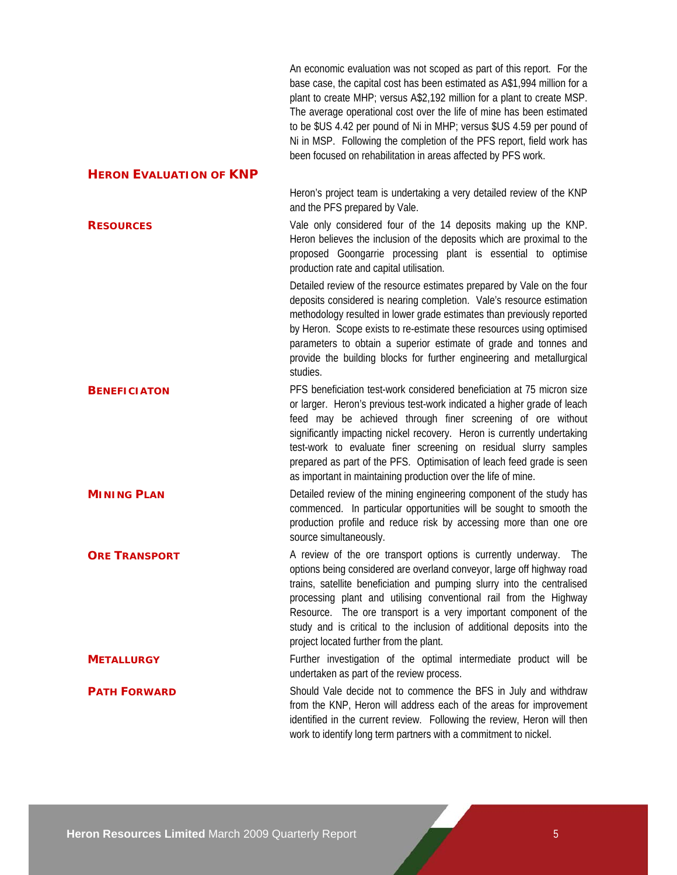An economic evaluation was not scoped as part of this report. For the base case, the capital cost has been estimated as A\$1,994 million for a plant to create MHP; versus A\$2,192 million for a plant to create MSP. The average operational cost over the life of mine has been estimated to be \$US 4.42 per pound of Ni in MHP; versus \$US 4.59 per pound of Ni in MSP. Following the completion of the PFS report, field work has been focused on rehabilitation in areas affected by PFS work.

#### **HERON EVALUATION OF KNP**

Heron's project team is undertaking a very detailed review of the KNP and the PFS prepared by Vale.

**RESOURCES** Vale only considered four of the 14 deposits making up the KNP. Heron believes the inclusion of the deposits which are proximal to the proposed Goongarrie processing plant is essential to optimise production rate and capital utilisation.

> Detailed review of the resource estimates prepared by Vale on the four deposits considered is nearing completion. Vale's resource estimation methodology resulted in lower grade estimates than previously reported by Heron. Scope exists to re-estimate these resources using optimised parameters to obtain a superior estimate of grade and tonnes and provide the building blocks for further engineering and metallurgical studies.

**BENEFICIATON** PFS beneficiation test-work considered beneficiation at 75 micron size or larger. Heron's previous test-work indicated a higher grade of leach feed may be achieved through finer screening of ore without significantly impacting nickel recovery. Heron is currently undertaking test-work to evaluate finer screening on residual slurry samples prepared as part of the PFS. Optimisation of leach feed grade is seen as important in maintaining production over the life of mine.

**MINING PLAN** Detailed review of the mining engineering component of the study has commenced. In particular opportunities will be sought to smooth the production profile and reduce risk by accessing more than one ore source simultaneously.

**ORE TRANSPORT** A review of the ore transport options is currently underway. The options being considered are overland conveyor, large off highway road trains, satellite beneficiation and pumping slurry into the centralised processing plant and utilising conventional rail from the Highway Resource. The ore transport is a very important component of the study and is critical to the inclusion of additional deposits into the project located further from the plant.

## **METALLURGY** Further investigation of the optimal intermediate product will be undertaken as part of the review process.

**PATH FORWARD** Should Vale decide not to commence the BFS in July and withdraw from the KNP, Heron will address each of the areas for improvement identified in the current review. Following the review, Heron will then work to identify long term partners with a commitment to nickel.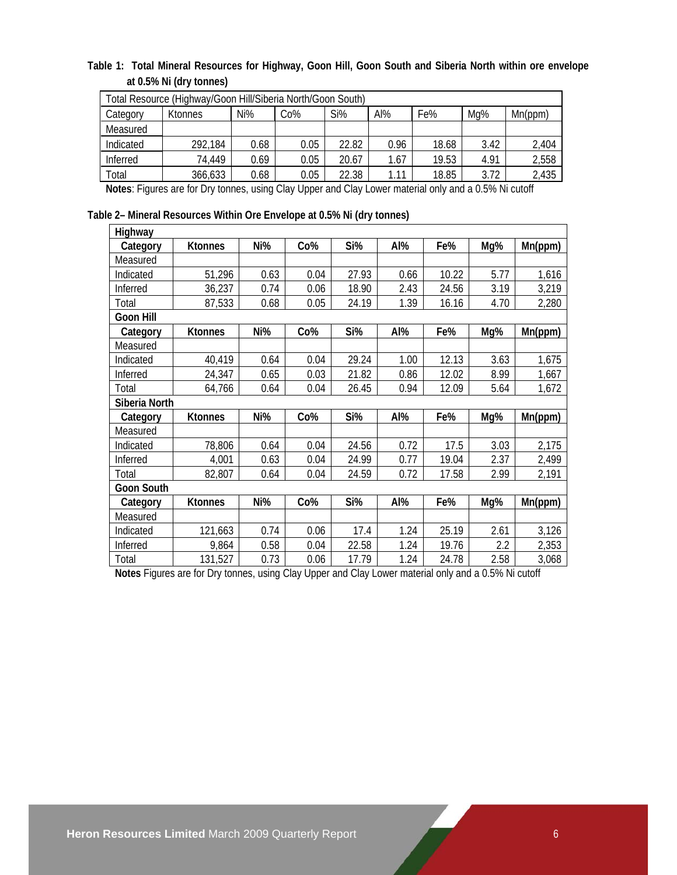## **Table 1: Total Mineral Resources for Highway, Goon Hill, Goon South and Siberia North within ore envelope at 0.5% Ni (dry tonnes)**

| Total Resource (Highway/Goon Hill/Siberia North/Goon South) |                |      |      |       |      |       |      |         |
|-------------------------------------------------------------|----------------|------|------|-------|------|-------|------|---------|
| Category                                                    | <b>Ktonnes</b> | Ni%  | Co%  | Si%   | Al%  | Fe%   | Mg%  | Mn(ppm) |
| Measured                                                    |                |      |      |       |      |       |      |         |
| Indicated                                                   | 292,184        | 0.68 | 0.05 | 22.82 | 0.96 | 18.68 | 3.42 | 2,404   |
| Inferred                                                    | 74.449         | 0.69 | 0.05 | 20.67 | 1.67 | 19.53 | 4.91 | 2,558   |
| Total                                                       | 366,633        | 0.68 | 0.05 | 22.38 | 1.11 | 18.85 | 3.72 | 2,435   |

**Notes**: Figures are for Dry tonnes, using Clay Upper and Clay Lower material only and a 0.5% Ni cutoff

**Table 2– Mineral Resources Within Ore Envelope at 0.5% Ni (dry tonnes)** 

| Highway           |                |      |      |       |      |       |      |         |
|-------------------|----------------|------|------|-------|------|-------|------|---------|
| Category          | <b>Ktonnes</b> | Ni%  | Co%  | Si%   | Al%  | Fe%   | Mg%  | Mn(ppm) |
| Measured          |                |      |      |       |      |       |      |         |
| Indicated         | 51,296         | 0.63 | 0.04 | 27.93 | 0.66 | 10.22 | 5.77 | 1,616   |
| Inferred          | 36,237         | 0.74 | 0.06 | 18.90 | 2.43 | 24.56 | 3.19 | 3,219   |
| Total             | 87,533         | 0.68 | 0.05 | 24.19 | 1.39 | 16.16 | 4.70 | 2,280   |
| <b>Goon Hill</b>  |                |      |      |       |      |       |      |         |
| Category          | <b>Ktonnes</b> | Ni%  | Co%  | Si%   | Al%  | Fe%   | Mg%  | Mn(ppm) |
| Measured          |                |      |      |       |      |       |      |         |
| Indicated         | 40,419         | 0.64 | 0.04 | 29.24 | 1.00 | 12.13 | 3.63 | 1,675   |
| Inferred          | 24,347         | 0.65 | 0.03 | 21.82 | 0.86 | 12.02 | 8.99 | 1,667   |
| Total             | 64,766         | 0.64 | 0.04 | 26.45 | 0.94 | 12.09 | 5.64 | 1,672   |
| Siberia North     |                |      |      |       |      |       |      |         |
| Category          | <b>Ktonnes</b> | Ni%  | Co%  | Si%   | Al%  | Fe%   | Mg%  | Mn(ppm) |
| Measured          |                |      |      |       |      |       |      |         |
| Indicated         | 78,806         | 0.64 | 0.04 | 24.56 | 0.72 | 17.5  | 3.03 | 2,175   |
| Inferred          | 4,001          | 0.63 | 0.04 | 24.99 | 0.77 | 19.04 | 2.37 | 2,499   |
| Total             | 82,807         | 0.64 | 0.04 | 24.59 | 0.72 | 17.58 | 2.99 | 2,191   |
| <b>Goon South</b> |                |      |      |       |      |       |      |         |
| Category          | <b>Ktonnes</b> | Ni%  | Co%  | Si%   | Al%  | Fe%   | Mg%  | Mn(ppm) |
| Measured          |                |      |      |       |      |       |      |         |
| Indicated         | 121,663        | 0.74 | 0.06 | 17.4  | 1.24 | 25.19 | 2.61 | 3,126   |
| Inferred          | 9,864          | 0.58 | 0.04 | 22.58 | 1.24 | 19.76 | 2.2  | 2,353   |
| Total             | 131,527        | 0.73 | 0.06 | 17.79 | 1.24 | 24.78 | 2.58 | 3,068   |

**Notes** Figures are for Dry tonnes, using Clay Upper and Clay Lower material only and a 0.5% Ni cutoff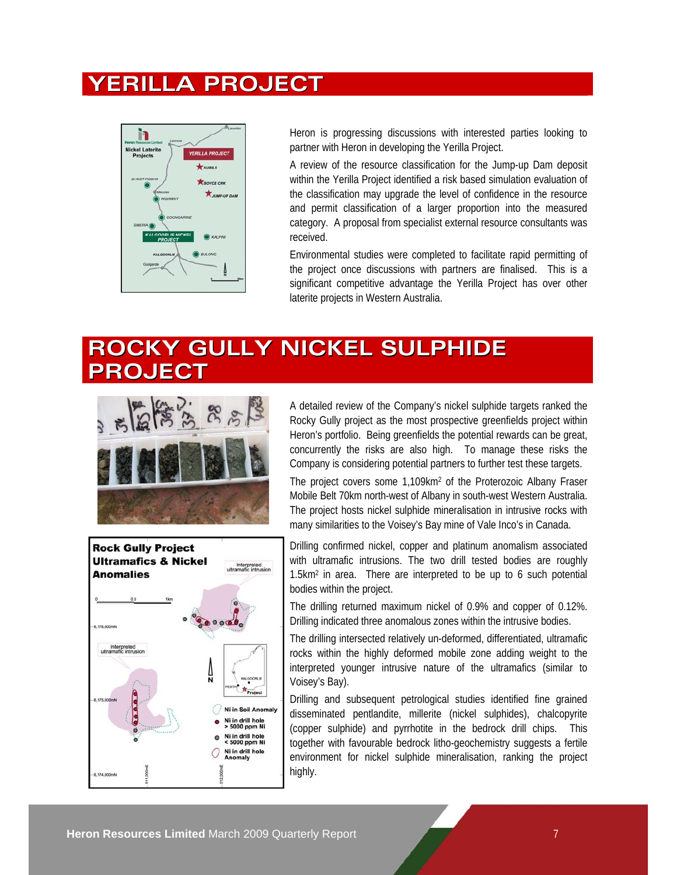# **YERILLA PROJECT**



Heron is progressing discussions with interested parties looking to partner with Heron in developing the Yerilla Project.

A review of the resource classification for the Jump-up Dam deposit within the Yerilla Project identified a risk based simulation evaluation of the classification may upgrade the level of confidence in the resource and permit classification of a larger proportion into the measured category. A proposal from specialist external resource consultants was received.

Environmental studies were completed to facilitate rapid permitting of the project once discussions with partners are finalised. This is a significant competitive advantage the Yerilla Project has over other laterite projects in Western Australia.

# **ROCKY GULLY NICKEL SULPHIDE PROJECT**



A detailed review of the Company's nickel sulphide targets ranked the Rocky Gully project as the most prospective greenfields project within Heron's portfolio. Being greenfields the potential rewards can be great, concurrently the risks are also high. To manage these risks the Company is considering potential partners to further test these targets.

The project covers some 1,109km2 of the Proterozoic Albany Fraser Mobile Belt 70km north-west of Albany in south-west Western Australia. The project hosts nickel sulphide mineralisation in intrusive rocks with many similarities to the Voisey's Bay mine of Vale Inco's in Canada.



Drilling confirmed nickel, copper and platinum anomalism associated with ultramafic intrusions. The two drill tested bodies are roughly 1.5km2 in area. There are interpreted to be up to 6 such potential bodies within the project.

The drilling returned maximum nickel of 0.9% and copper of 0.12%. Drilling indicated three anomalous zones within the intrusive bodies.

The drilling intersected relatively un-deformed, differentiated, ultramafic rocks within the highly deformed mobile zone adding weight to the interpreted younger intrusive nature of the ultramafics (similar to Voisey's Bay).

Drilling and subsequent petrological studies identified fine grained disseminated pentlandite, millerite (nickel sulphides), chalcopyrite (copper sulphide) and pyrrhotite in the bedrock drill chips. This together with favourable bedrock litho-geochemistry suggests a fertile environment for nickel sulphide mineralisation, ranking the project highly.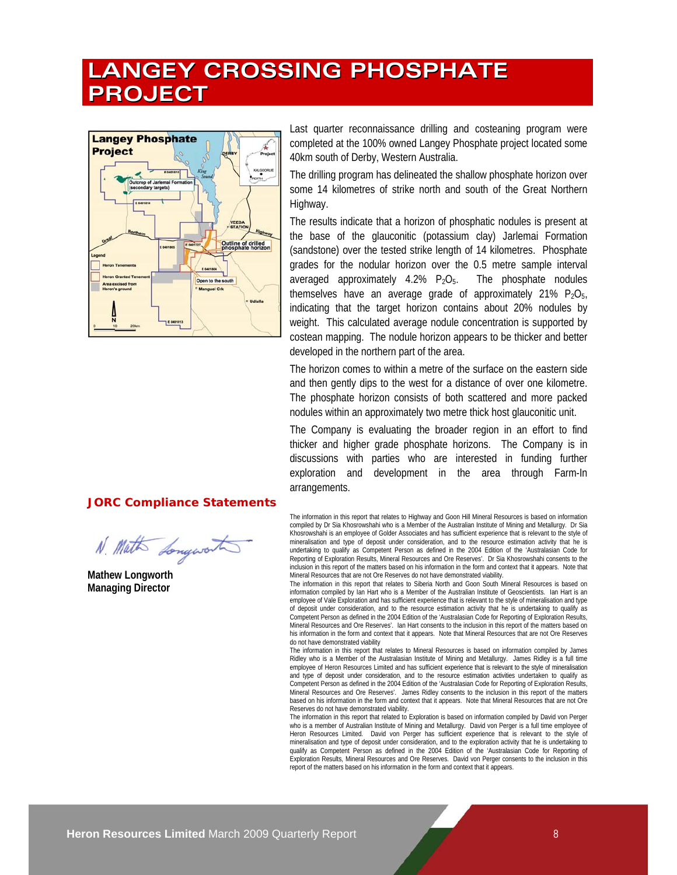# **LANGEY CROSSING PHOSPHATE PROJECT**



Last quarter reconnaissance drilling and costeaning program were completed at the 100% owned Langey Phosphate project located some 40km south of Derby, Western Australia.

The drilling program has delineated the shallow phosphate horizon over some 14 kilometres of strike north and south of the Great Northern Highway.

The results indicate that a horizon of phosphatic nodules is present at the base of the glauconitic (potassium clay) Jarlemai Formation (sandstone) over the tested strike length of 14 kilometres. Phosphate grades for the nodular horizon over the 0.5 metre sample interval averaged approximately  $4.2\%$   $P_2O_5$ . The phosphate nodules themselves have an average grade of approximately 21%  $P_2O_5$ , indicating that the target horizon contains about 20% nodules by weight. This calculated average nodule concentration is supported by costean mapping. The nodule horizon appears to be thicker and better developed in the northern part of the area.

The horizon comes to within a metre of the surface on the eastern side and then gently dips to the west for a distance of over one kilometre. The phosphate horizon consists of both scattered and more packed nodules within an approximately two metre thick host glauconitic unit.

The Company is evaluating the broader region in an effort to find thicker and higher grade phosphate horizons. The Company is in discussions with parties who are interested in funding further exploration and development in the area through Farm-In arrangements.

The information in this report that relates to Highway and Goon Hill Mineral Resources is based on information compiled by Dr Sia Khosrowshahi who is a Member of the Australian Institute of Mining and Metallurgy. Dr Sia Khosrowshahi is an employee of Golder Associates and has sufficient experience that is relevant to the style of mineralisation and type of deposit under consideration, and to the resource estimation activity that he is undertaking to qualify as Competent Person as defined in the 2004 Edition of the 'Australasian Code for Reporting of Exploration Results, Mineral Resources and Ore Reserves'. Dr Sia Khosrowshahi consents to the inclusion in this report of the matters based on his information in the form and context that it appears. Note that Mineral Resources that are not Ore Reserves do not have demonstrated viability.

The information in this report that relates to Siberia North and Goon South Mineral Resources is based on information compiled by Ian Hart who is a Member of the Australian Institute of Geoscientists. Ian Hart is an employee of Vale Exploration and has sufficient experience that is relevant to the style of mineralisation and type of deposit under consideration, and to the resource estimation activity that he is undertaking to qualify as Competent Person as defined in the 2004 Edition of the 'Australasian Code for Reporting of Exploration Results, Mineral Resources and Ore Reserves'. Ian Hart consents to the inclusion in this report of the matters based on his information in the form and context that it appears. Note that Mineral Resources that are not Ore Reserves do not have demonstrated viability

The information in this report that relates to Mineral Resources is based on information compiled by James Ridley who is a Member of the Australasian Institute of Mining and Metallurgy. James Ridley is a full time employee of Heron Resources Limited and has sufficient experience that is relevant to the style of mineralisation and type of deposit under consideration, and to the resource estimation activities undertaken to qualify as Competent Person as defined in the 2004 Edition of the 'Australasian Code for Reporting of Exploration Results, Mineral Resources and Ore Reserves'. James Ridley consents to the inclusion in this report of the matters based on his information in the form and context that it appears. Note that Mineral Resources that are not Ore Reserves do not have demonstrated viability.

The information in this report that related to Exploration is based on information compiled by David von Perger who is a member of Australian Institute of Mining and Metallurgy. David von Perger is a full time employee of Heron Resources Limited. David von Perger has sufficient experience that is relevant to the style of mineralisation and type of deposit under consideration, and to the exploration activity that he is undertaking to qualify as Competent Person as defined in the 2004 Edition of the 'Australasian Code for Reporting of Exploration Results, Mineral Resources and Ore Reserves. David von Perger consents to the inclusion in this report of the matters based on his information in the form and context that it appears.

## **JORC Compliance Statements**

N. Math Longwort

**Mathew Longworth Managing Director**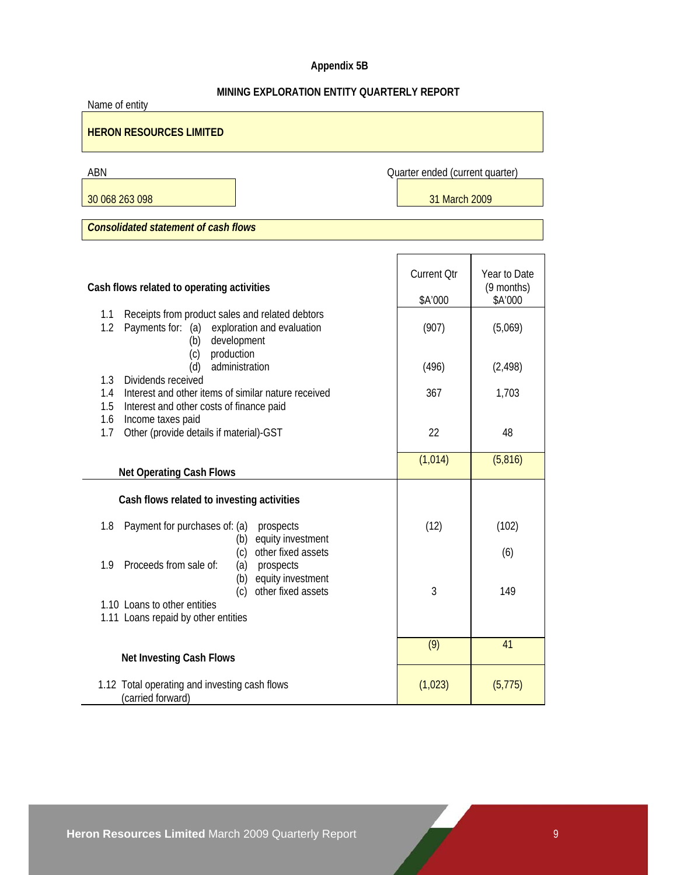# **Appendix 5B**

# **MINING EXPLORATION ENTITY QUARTERLY REPORT**

| Name of entity                                                                          |                                 |                            |  |  |  |  |
|-----------------------------------------------------------------------------------------|---------------------------------|----------------------------|--|--|--|--|
| <b>HERON RESOURCES LIMITED</b>                                                          |                                 |                            |  |  |  |  |
| ABN                                                                                     | Quarter ended (current quarter) |                            |  |  |  |  |
| 30 068 263 098                                                                          | 31 March 2009                   |                            |  |  |  |  |
| <b>Consolidated statement of cash flows</b>                                             |                                 |                            |  |  |  |  |
|                                                                                         |                                 |                            |  |  |  |  |
| Cash flows related to operating activities                                              | <b>Current Qtr</b>              | Year to Date<br>(9 months) |  |  |  |  |
| Receipts from product sales and related debtors<br>1.1                                  | \$A'000                         | \$A'000                    |  |  |  |  |
| 1.2<br>Payments for: (a) exploration and evaluation<br>development<br>(b)               | (907)                           | (5,069)                    |  |  |  |  |
| production<br>(c)<br>administration<br>(d)                                              | (496)                           | (2, 498)                   |  |  |  |  |
| 1.3<br>Dividends received<br>Interest and other items of similar nature received<br>1.4 | 367                             | 1,703                      |  |  |  |  |
| 1.5<br>Interest and other costs of finance paid                                         |                                 |                            |  |  |  |  |
| Income taxes paid<br>1.6<br>Other (provide details if material)-GST<br>1.7              | 22                              | 48                         |  |  |  |  |
|                                                                                         | (1,014)                         | (5,816)                    |  |  |  |  |
| <b>Net Operating Cash Flows</b>                                                         |                                 |                            |  |  |  |  |
| Cash flows related to investing activities                                              |                                 |                            |  |  |  |  |
| Payment for purchases of: (a)<br>1.8<br>prospects<br>equity investment<br>(b)           | (12)                            | (102)                      |  |  |  |  |
| other fixed assets<br>(c)<br>Proceeds from sale of:<br>1.9<br>prospects<br>(a)          |                                 | (6)                        |  |  |  |  |
| equity investment<br>(b)<br>(c)<br>other fixed assets                                   | 3                               | 149                        |  |  |  |  |
| 1.10 Loans to other entities<br>1.11 Loans repaid by other entities                     |                                 |                            |  |  |  |  |
| <b>Net Investing Cash Flows</b>                                                         | (9)                             | 41                         |  |  |  |  |
| 1.12 Total operating and investing cash flows<br>(carried forward)                      | (1,023)                         | (5, 775)                   |  |  |  |  |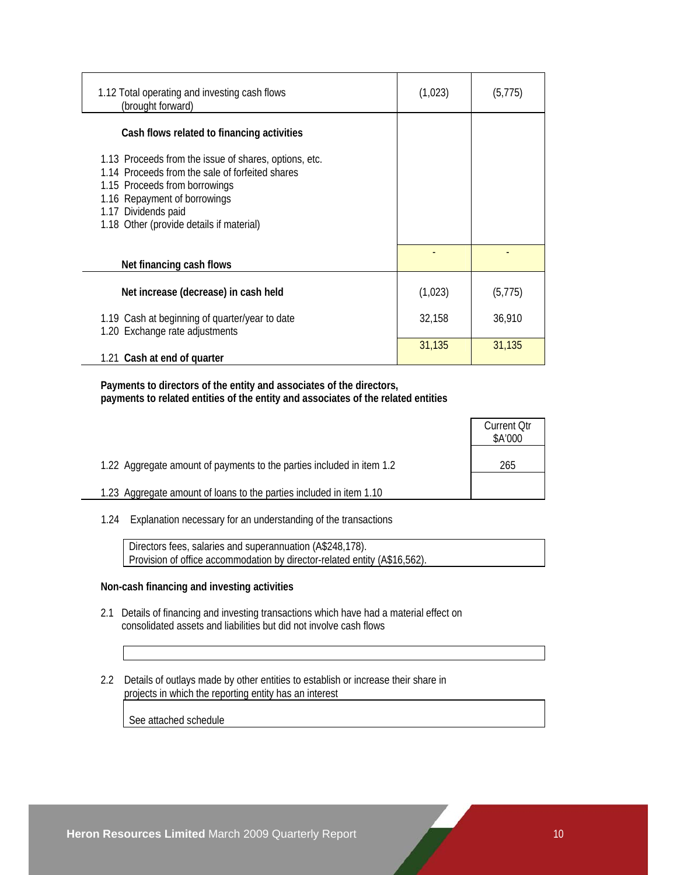| 1.12 Total operating and investing cash flows<br>(brought forward)                                                                                                                                                                           | (1,023) | (5, 775) |
|----------------------------------------------------------------------------------------------------------------------------------------------------------------------------------------------------------------------------------------------|---------|----------|
| Cash flows related to financing activities                                                                                                                                                                                                   |         |          |
| 1.13 Proceeds from the issue of shares, options, etc.<br>1.14 Proceeds from the sale of forfeited shares<br>1.15 Proceeds from borrowings<br>1.16 Repayment of borrowings<br>1.17 Dividends paid<br>1.18 Other (provide details if material) |         |          |
| Net financing cash flows                                                                                                                                                                                                                     |         |          |
| Net increase (decrease) in cash held                                                                                                                                                                                                         | (1,023) | (5, 775) |
| 1.19 Cash at beginning of quarter/year to date<br>1.20 Exchange rate adjustments                                                                                                                                                             | 32,158  | 36,910   |
| 1.21 Cash at end of quarter                                                                                                                                                                                                                  | 31,135  | 31,135   |

 **Payments to directors of the entity and associates of the directors, payments to related entities of the entity and associates of the related entities** 

|                                                                       | <b>Current Otr</b><br>\$A'000 |
|-----------------------------------------------------------------------|-------------------------------|
| 1.22 Aggregate amount of payments to the parties included in item 1.2 | 265                           |
| 1.23 Aggregate amount of loans to the parties included in item 1.10   |                               |

1.24 Explanation necessary for an understanding of the transactions

 Directors fees, salaries and superannuation (A\$248,178). Provision of office accommodation by director-related entity (A\$16,562).

#### **Non-cash financing and investing activities**

- 2.1 Details of financing and investing transactions which have had a material effect on consolidated assets and liabilities but did not involve cash flows
- 2.2 Details of outlays made by other entities to establish or increase their share in projects in which the reporting entity has an interest

See attached schedule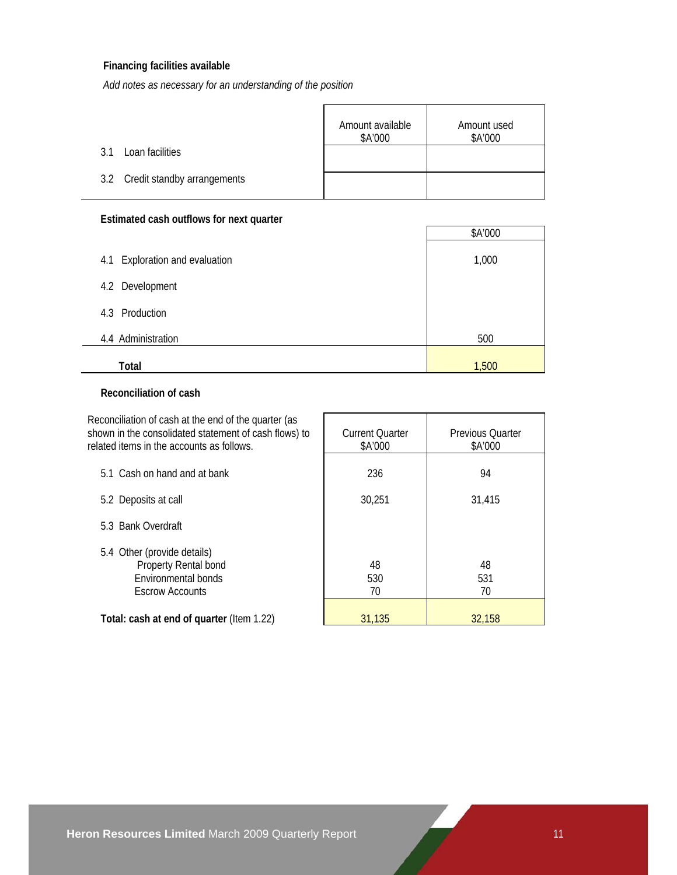### **Financing facilities available**

*Add notes as necessary for an understanding of the position*

|                                 | Amount available<br>\$A'000 | Amount used<br>\$A'000 |
|---------------------------------|-----------------------------|------------------------|
| Loan facilities<br>? 1          |                             |                        |
| 3.2 Credit standby arrangements |                             |                        |

# **Estimated cash outflows for next quarter**

| Lottington odon outnotion nont quartor |         |
|----------------------------------------|---------|
|                                        | \$A'000 |
| Exploration and evaluation<br>4.1      | 1,000   |
| 4.2 Development                        |         |
| 4.3 Production                         |         |
| 4.4 Administration                     | 500     |
| Total                                  | 1,500   |

### **Reconciliation of cash**

| Reconciliation of cash at the end of the quarter (as<br>shown in the consolidated statement of cash flows) to<br>related items in the accounts as follows. | <b>Current Ouarter</b><br>\$A'000 | Previous Ouarter<br>\$A'000 |
|------------------------------------------------------------------------------------------------------------------------------------------------------------|-----------------------------------|-----------------------------|
| 5.1 Cash on hand and at bank                                                                                                                               | 236                               | 94                          |
| 5.2 Deposits at call                                                                                                                                       | 30,251                            | 31,415                      |
| 5.3 Bank Overdraft                                                                                                                                         |                                   |                             |
| 5.4 Other (provide details)<br>Property Rental bond<br>Environmental bonds<br><b>Escrow Accounts</b>                                                       | 48<br>530<br>70                   | 48<br>531<br>70             |
| Total: cash at end of quarter (Item 1.22)                                                                                                                  | 31,135                            | 32,158                      |

 $\overline{\phantom{0}}$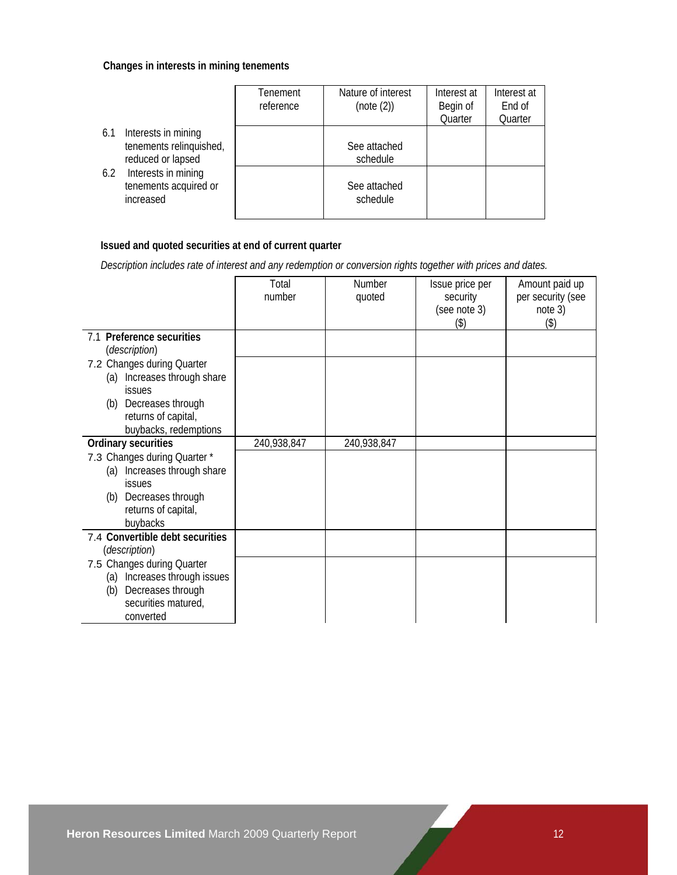### **Changes in interests in mining tenements**

|                                                                            | Tenement<br>reference | Nature of interest<br>(note (2)) | Interest at<br>Begin of<br>Quarter | Interest at<br>End of<br>Quarter |
|----------------------------------------------------------------------------|-----------------------|----------------------------------|------------------------------------|----------------------------------|
| Interests in mining<br>6.1<br>tenements relinquished,<br>reduced or lapsed |                       | See attached<br>schedule         |                                    |                                  |
| Interests in mining<br>6.2<br>tenements acquired or<br>increased           |                       | See attached<br>schedule         |                                    |                                  |

# **Issued and quoted securities at end of current quarter**

 *Description includes rate of interest and any redemption or conversion rights together with prices and dates.* 

|                                                                                                                                          | Total<br>number | Number<br>quoted | Issue price per<br>security | Amount paid up<br>per security (see |
|------------------------------------------------------------------------------------------------------------------------------------------|-----------------|------------------|-----------------------------|-------------------------------------|
|                                                                                                                                          |                 |                  | (see note 3)<br>(3)         | note 3)<br>(3)                      |
| 7.1 Preference securities<br>(description)                                                                                               |                 |                  |                             |                                     |
| 7.2 Changes during Quarter<br>(a) Increases through share<br><b>issues</b><br>(b) Decreases through<br>returns of capital,               |                 |                  |                             |                                     |
| buybacks, redemptions                                                                                                                    |                 |                  |                             |                                     |
| <b>Ordinary securities</b>                                                                                                               | 240,938,847     | 240,938,847      |                             |                                     |
| 7.3 Changes during Quarter *<br>(a) Increases through share<br><b>issues</b><br>(b) Decreases through<br>returns of capital,<br>buybacks |                 |                  |                             |                                     |
| 7.4 Convertible debt securities<br>(description)                                                                                         |                 |                  |                             |                                     |
| 7.5 Changes during Quarter<br>(a) Increases through issues<br>Decreases through<br>(b)<br>securities matured,<br>converted               |                 |                  |                             |                                     |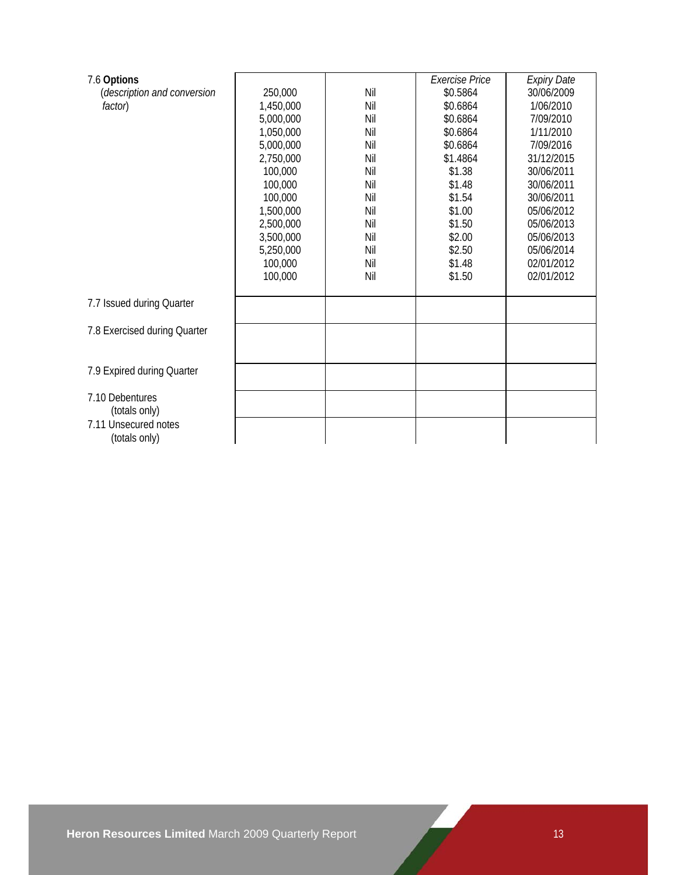| 7.6 Options                  |           |     | <b>Exercise Price</b> | <b>Expiry Date</b> |
|------------------------------|-----------|-----|-----------------------|--------------------|
| (description and conversion  | 250,000   | Nil | \$0.5864              | 30/06/2009         |
| factor)                      | 1,450,000 | Nil | \$0.6864              | 1/06/2010          |
|                              | 5,000,000 | Nil | \$0.6864              | 7/09/2010          |
|                              | 1,050,000 | Nil | \$0.6864              | 1/11/2010          |
|                              | 5,000,000 | Nil | \$0.6864              | 7/09/2016          |
|                              | 2,750,000 | Nil | \$1.4864              | 31/12/2015         |
|                              | 100,000   | Nil | \$1.38                | 30/06/2011         |
|                              | 100,000   | Nil | \$1.48                | 30/06/2011         |
|                              | 100,000   | Nil | \$1.54                | 30/06/2011         |
|                              | 1,500,000 | Nil | \$1.00                | 05/06/2012         |
|                              | 2,500,000 | Nil | \$1.50                | 05/06/2013         |
|                              | 3,500,000 | Nil | \$2.00                | 05/06/2013         |
|                              | 5,250,000 | Nil | \$2.50                | 05/06/2014         |
|                              | 100,000   | Nil | \$1.48                | 02/01/2012         |
|                              | 100,000   | Nil | \$1.50                | 02/01/2012         |
|                              |           |     |                       |                    |
| 7.7 Issued during Quarter    |           |     |                       |                    |
|                              |           |     |                       |                    |
| 7.8 Exercised during Quarter |           |     |                       |                    |
|                              |           |     |                       |                    |
|                              |           |     |                       |                    |
| 7.9 Expired during Quarter   |           |     |                       |                    |
|                              |           |     |                       |                    |
| 7.10 Debentures              |           |     |                       |                    |
| (totals only)                |           |     |                       |                    |
| 7.11 Unsecured notes         |           |     |                       |                    |
| (totals only)                |           |     |                       |                    |
|                              |           |     |                       |                    |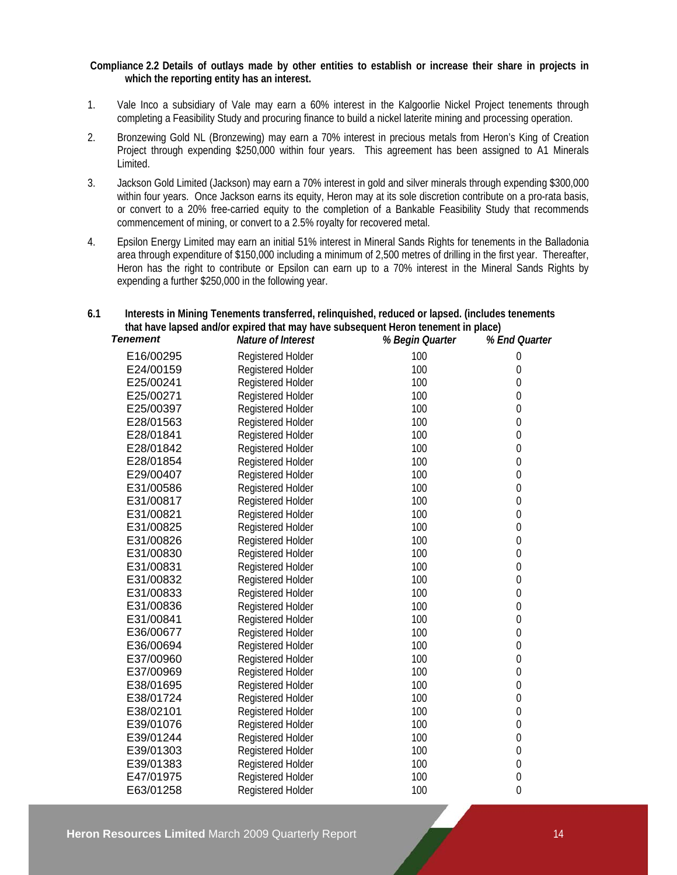#### **Compliance 2.2 Details of outlays made by other entities to establish or increase their share in projects in which the reporting entity has an interest.**

- 1. Vale Inco a subsidiary of Vale may earn a 60% interest in the Kalgoorlie Nickel Project tenements through completing a Feasibility Study and procuring finance to build a nickel laterite mining and processing operation.
- 2. Bronzewing Gold NL (Bronzewing) may earn a 70% interest in precious metals from Heron's King of Creation Project through expending \$250,000 within four years. This agreement has been assigned to A1 Minerals Limited.
- 3. Jackson Gold Limited (Jackson) may earn a 70% interest in gold and silver minerals through expending \$300,000 within four years. Once Jackson earns its equity, Heron may at its sole discretion contribute on a pro-rata basis, or convert to a 20% free-carried equity to the completion of a Bankable Feasibility Study that recommends commencement of mining, or convert to a 2.5% royalty for recovered metal.
- 4. Epsilon Energy Limited may earn an initial 51% interest in Mineral Sands Rights for tenements in the Balladonia area through expenditure of \$150,000 including a minimum of 2,500 metres of drilling in the first year. Thereafter, Heron has the right to contribute or Epsilon can earn up to a 70% interest in the Mineral Sands Rights by expending a further \$250,000 in the following year.

## **6.1 Interests in Mining Tenements transferred, relinquished, reduced or lapsed. (includes tenements that have lapsed and/or expired that may have subsequent Heron tenement in place)**

| <b>Tenement</b> | Nature of Interest       | % Begin Quarter | % End Quarter    |
|-----------------|--------------------------|-----------------|------------------|
| E16/00295       | Registered Holder        | 100             | $\mathbf 0$      |
| E24/00159       | Registered Holder        | 100             | $\boldsymbol{0}$ |
| E25/00241       | Registered Holder        | 100             | $\boldsymbol{0}$ |
| E25/00271       | Registered Holder        | 100             | 0                |
| E25/00397       | <b>Registered Holder</b> | 100             | 0                |
| E28/01563       | Registered Holder        | 100             | 0                |
| E28/01841       | Registered Holder        | 100             | 0                |
| E28/01842       | Registered Holder        | 100             | 0                |
| E28/01854       | Registered Holder        | 100             | $\mathbf 0$      |
| E29/00407       | <b>Registered Holder</b> | 100             | $\boldsymbol{0}$ |
| E31/00586       | Registered Holder        | 100             | $\boldsymbol{0}$ |
| E31/00817       | <b>Registered Holder</b> | 100             | 0                |
| E31/00821       | <b>Registered Holder</b> | 100             | 0                |
| E31/00825       | Registered Holder        | 100             | 0                |
| E31/00826       | Registered Holder        | 100             | 0                |
| E31/00830       | Registered Holder        | 100             | $\boldsymbol{0}$ |
| E31/00831       | Registered Holder        | 100             | $\mathbf 0$      |
| E31/00832       | Registered Holder        | 100             | $\boldsymbol{0}$ |
| E31/00833       | Registered Holder        | 100             | $\boldsymbol{0}$ |
| E31/00836       | <b>Registered Holder</b> | 100             | $\boldsymbol{0}$ |
| E31/00841       | Registered Holder        | 100             | 0                |
| E36/00677       | Registered Holder        | 100             | $\boldsymbol{0}$ |
| E36/00694       | Registered Holder        | 100             | 0                |
| E37/00960       | Registered Holder        | 100             | $\mathbf 0$      |
| E37/00969       | Registered Holder        | 100             | 0                |
| E38/01695       | Registered Holder        | 100             | $\boldsymbol{0}$ |
| E38/01724       | Registered Holder        | 100             | $\boldsymbol{0}$ |
| E38/02101       | Registered Holder        | 100             | $\boldsymbol{0}$ |
| E39/01076       | Registered Holder        | 100             | $\boldsymbol{0}$ |
| E39/01244       | Registered Holder        | 100             | 0                |
| E39/01303       | <b>Registered Holder</b> | 100             | 0                |
| E39/01383       | Registered Holder        | 100             | 0                |
| E47/01975       | Registered Holder        | 100             | $\boldsymbol{0}$ |
| E63/01258       | <b>Registered Holder</b> | 100             | $\boldsymbol{0}$ |